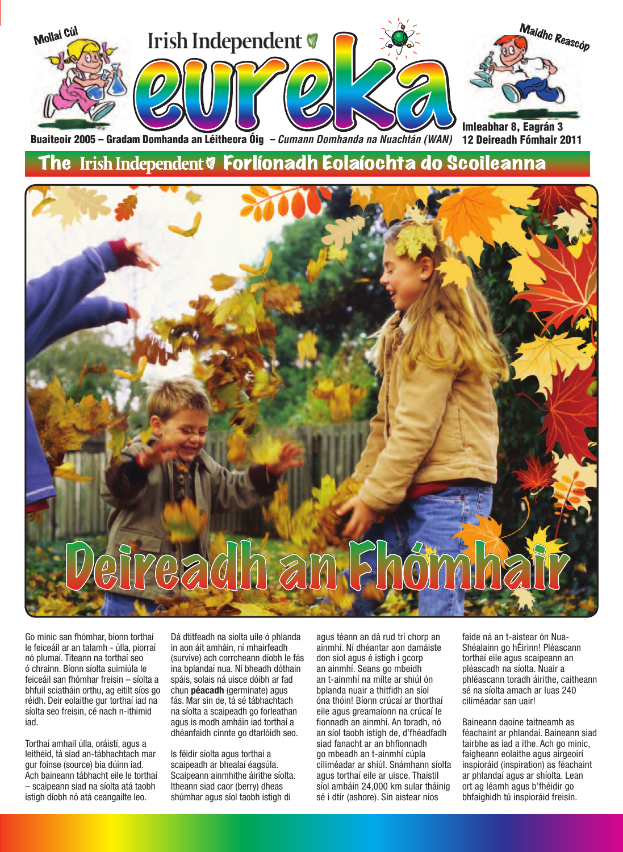

Buaiteoir 2005 – Gradam Domhanda an Léitheora Óig *– Cumann Domhanda na Nuachtán (WAN)*  12 Deireadh Fómhair 2011

#### The Irish Independent & Forlíonadh Eolaíochta do Scoileanna



Go minic san fhómhar, bíonn torthaí le feiceáil ar an talamh - úlla, piorraí nó plumaí. Titeann na torthaí seo ó chrainn. Bíonn síolta suimiúla le feiceáil san fhómhar freisin – síolta a bhfuil sciatháin orthu, ag eitilt síos go réidh. Deir eolaithe gur torthaí iad na síolta seo freisin, cé nach n-ithimid iad.

Torthaí amhail úlla, oráistí, agus a leithéid, tá siad an-tábhachtach mar gur foinse (source) bia dúinn iad. Ach baineann tábhacht eile le torthaí – scaipeann siad na síolta atá taobh istigh díobh nó atá ceangailte leo.

Dá dtitfeadh na síolta uile ó phlanda in aon áit amháin, ní mhairfeadh (survive) ach corrcheann díobh le fás ina bplandaí nua. Ní bheadh dóthain spáis, solais ná uisce dóibh ar fad chun **péacadh** (germinate) agus fás. Mar sin de, tá sé tábhachtach na síolta a scaipeadh go forleathan agus is modh amháin iad torthaí a dhéanfaidh cinnte go dtarlóidh seo.

Is féidir síolta agus torthaí a scaipeadh ar bhealaí éagsúla. Scaipeann ainmhithe áirithe síolta. Itheann siad caor (berry) dheas shúmhar agus síol taobh istigh di

agus téann an dá rud trí chorp an ainmhí. Ní dhéantar aon damáiste don síol agus é istigh i gcorp an ainmhí. Seans go mbeidh an t-ainmhí na mílte ar shiúl ón bplanda nuair a thitfidh an síol óna thóin! Bíonn crúcaí ar thorthaí eile agus greamaíonn na crúcaí le fionnadh an ainmhí. An toradh, nó an síol taobh istigh de, d'fhéadfadh siad fanacht ar an bhfionnadh go mbeadh an t-ainmhí cúpla ciliméadar ar shiúl. Snámhann síolta agus torthaí eile ar uisce. Thaistil síol amháin 24,000 km sular tháinig sé i dtír (ashore). Sin aistear níos

faide ná an t-aistear ón Nua-Shéalainn go hÉirinn! Pléascann torthaí eile agus scaipeann an pléascadh na síolta. Nuair a phléascann toradh áirithe, caitheann sé na síolta amach ar luas 240 ciliméadar san uair!

Baineann daoine taitneamh as féachaint ar phlandaí. Baineann siad tairbhe as iad a ithe. Ach go minic, faigheann eolaithe agus airgeoirí inspioráid (inspiration) as féachaint ar phlandaí agus ar shíolta. Lean ort ag léamh agus b'fhéidir go bhfaighidh tú inspioráid freisin.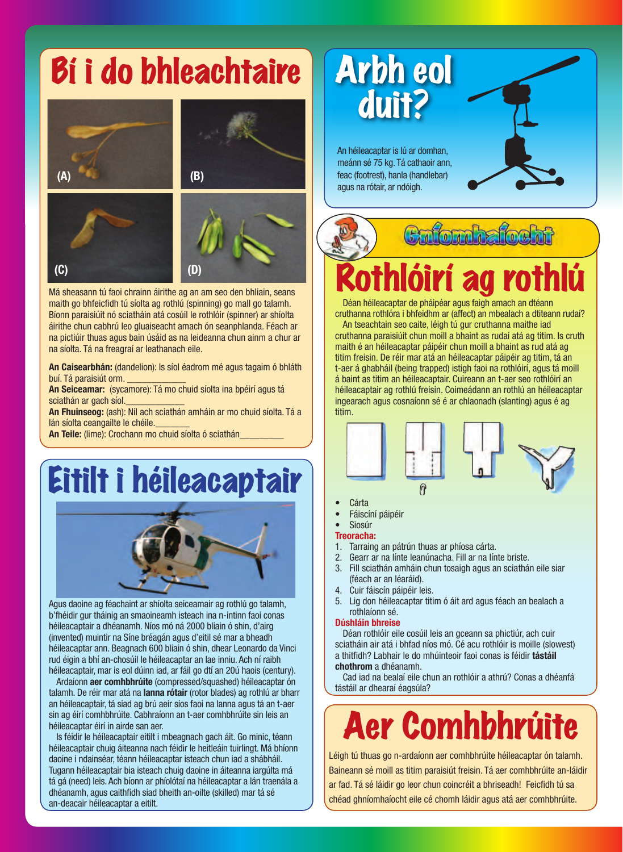### Bí i do bhleachtaire







Má sheasann tú faoi chrainn áirithe ag an am seo den bhliain, seans maith go bhfeicfidh tú síolta ag rothlú (spinning) go mall go talamh. Bíonn paraisiúit nó sciatháin atá cosúil le rothlóir (spinner) ar shíolta áirithe chun cabhrú leo gluaiseacht amach ón seanphlanda. Féach ar na pictiúir thuas agus bain úsáid as na leideanna chun ainm a chur ar na síolta. Tá na freagraí ar leathanach eile.

**An Caisearbhán:** (dandelion): Is síol éadrom mé agus tagaim ó bhláth buí. Tá paraisiút orm.

**An Seiceamar:** (sycamore): Tá mo chuid síolta ina bpéirí agus tá sciathán ar gach síol.

**An Fhuinseog:** (ash): Níl ach sciathán amháin ar mo chuid síolta. Tá a lán síolta ceangailte le chéile.

**An Teile:** (lime): Crochann mo chuid síolta ó sciathán\_\_\_\_\_\_\_\_\_

### Eitilt i héileacaptair



Agus daoine ag féachaint ar shíolta seiceamair ag rothlú go talamh, b'fhéidir gur tháinig an smaoineamh isteach ina n-intinn faoi conas héileacaptair a dhéanamh. Níos mó ná 2000 bliain ó shin, d'airg (invented) muintir na Síne bréagán agus d'eitil sé mar a bheadh héileacaptar ann. Beagnach 600 bliain ó shin, dhear Leonardo da Vinci rud éigin a bhí an-chosúil le héileacaptar an lae inniu. Ach ní raibh héileacaptair, mar is eol dúinn iad, ar fáil go dtí an 20ú haois (century).

Ardaíonn **aer comhbhrúite** (compressed/squashed) héileacaptar ón talamh. De réir mar atá na **lanna rótair** (rotor blades) ag rothlú ar bharr an héileacaptair, tá siad ag brú aeir síos faoi na lanna agus tá an t-aer sin ag éirí comhbhrúite. Cabhraíonn an t-aer comhbhrúite sin leis an héileacaptar éirí in airde san aer.

Is féidir le héileacaptair eitilt i mbeagnach gach áit. Go minic, téann héileacaptair chuig áiteanna nach féidir le heitleáin tuirlingt. Má bhíonn daoine i ndainséar, téann héileacaptar isteach chun iad a shábháil. Tugann héileacaptair bia isteach chuig daoine in áiteanna iargúlta má tá gá (need) leis. Ach bíonn ar phíolótaí na héileacaptar a lán traenála a dhéanamh, agus caithfidh siad bheith an-oilte (skilled) mar tá sé an-deacair héileacaptar a eitilt.

### Arbh eol duit?

An héileacaptar is lú ar domhan, meánn sé 75 kg. Tá cathaoir ann, feac (footrest), hanla (handlebar) agus na rótair, ar ndóigh.



# Rothlóirí ag rothlú

Déan héileacaptar de pháipéar agus faigh amach an dtéann cruthanna rothlóra i bhfeidhm ar (affect) an mbealach a dtiteann rudaí?

An tseachtain seo caite, léigh tú gur cruthanna maithe iad cruthanna paraisiúit chun moill a bhaint as rudaí atá ag titim. Is cruth maith é an héileacaptar páipéir chun moill a bhaint as rud atá ag titim freisin. De réir mar atá an héileacaptar páipéir ag titim, tá an t-aer á ghabháil (being trapped) istigh faoi na rothlóirí, agus tá moill á baint as titim an héileacaptair. Cuireann an t-aer seo rothlóirí an héileacaptair ag rothlú freisin. Coimeádann an rothlú an héileacaptar ingearach agus cosnaíonn sé é ar chlaonadh (slanting) agus é ag titim.



- **Cárta**
- Fáiscíní páipéir
- **Siosúr**

#### **Treoracha:**

- 1. Tarraing an pátrún thuas ar phíosa cárta.
- 2. Gearr ar na línte leanúnacha. Fill ar na línte briste.
- 3. Fill sciathán amháin chun tosaigh agus an sciathán eile siar (féach ar an léaráid).
- 4. Cuir fáiscín páipéir leis.
- 5. Lig don héileacaptar titim ó áit ard agus féach an bealach a rothlaíonn sé.

#### **Dúshláin bhreise**

Déan rothlóir eile cosúil leis an gceann sa phictiúr, ach cuir sciatháin air atá i bhfad níos mó. Cé acu rothlóir is moille (slowest) a thitfidh? Labhair le do mhúinteoir faoi conas is féidir **tástáil chothrom** a dhéanamh.

Cad iad na bealaí eile chun an rothlóir a athrú? Conas a dhéanfá tástáil ar dhearaí éagsúla?

# Aer Comhbhrúite

Léigh tú thuas go n-ardaíonn aer comhbhrúite héileacaptar ón talamh. Baineann sé moill as titim paraisiút freisin. Tá aer comhbhrúite an-láidir ar fad. Tá sé láidir go leor chun coincréit a bhriseadh! Feicfidh tú sa chéad ghníomhaíocht eile cé chomh láidir agus atá aer comhbhrúite.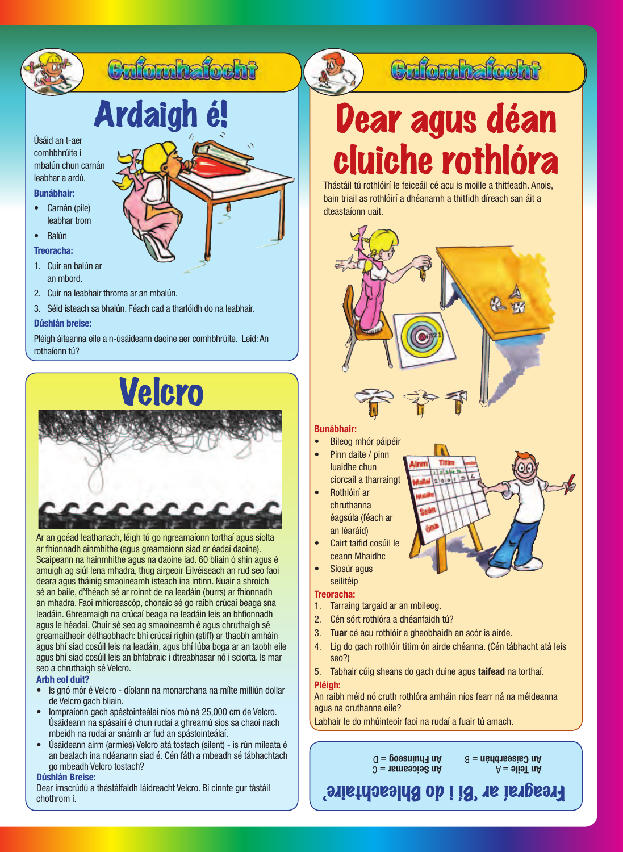# Ardaigh é!

Cafomhafocht

Úsáid an t-aer comhbhrúite i mbalún chun carnán leabhar a ardú.

#### **Bunábhair:**

- Carnán (pile) leabhar trom
- Balún
- **Treoracha:**
- 1. Cuir an balún ar an mbord.
- 2. Cuir na leabhair throma ar an mbalún.
- 3. Séid isteach sa bhalún. Féach cad a tharlóidh do na leabhair.

#### **Dúshlán breise:**

Pléigh áiteanna eile a n-úsáideann daoine aer comhbhrúite. Leid: An rothaíonn tú?



Ar an gcéad leathanach, léigh tú go ngreamaíonn torthaí agus síolta ar fhionnadh ainmhithe (agus greamaíonn siad ar éadaí daoine). Scaipeann na hainmhithe agus na daoine iad. 60 bliain ó shin agus é amuigh ag siúl lena mhadra, thug airgeoir Eilvéiseach an rud seo faoi deara agus tháinig smaoineamh isteach ina intinn. Nuair a shroich sé an baile, d'fhéach sé ar roinnt de na leadáin (burrs) ar fhionnadh an mhadra. Faoi mhicreascóp, chonaic sé go raibh crúcaí beaga sna leadáin. Ghreamaigh na crúcaí beaga na leadáin leis an bhfionnadh agus le héadaí. Chuir sé seo ag smaoineamh é agus chruthaigh sé greamaitheoir déthaobhach: bhí crúcaí righin (stiff) ar thaobh amháin agus bhí siad cosúil leis na leadáin, agus bhí lúba boga ar an taobh eile agus bhí siad cosúil leis an bhfabraic i dtreabhasar nó i sciorta. Is mar seo a chruthaigh sé Velcro.

#### **Arbh eol duit?**

- Is gnó mór é Velcro díolann na monarchana na mílte milliún dollar de Velcro gach bliain.
- Iompraíonn gach spástointeálaí níos mó ná 25,000 cm de Velcro. Úsáideann na spásairí é chun rudaí a ghreamú síos sa chaoi nach mbeidh na rudaí ar snámh ar fud an spástointeálaí.
- Úsáideann airm (armies) Velcro atá tostach (silent) is rún míleata é an bealach ina ndéanann siad é. Cén fáth a mbeadh sé tábhachtach go mbeadh Velcro tostach?

#### **Dúshlán Breise:**

Dear imscrúdú a thástálfaidh láidreacht Velcro. Bí cinnte gur tástáil chothrom í.

### Cafomhafocht Dear agus déan

# cluiche rothlóra

Thástáil tú rothlóirí le feiceáil cé acu is moille a thitfeadh. Anois, bain triail as rothlóirí a dhéanamh a thitfidh díreach san áit a dteastaíonn uait.



#### **Bunábhair:**

- Bileog mhór páipéir
- Pinn daite / pinn luaidhe chun ciorcail a tharraingt
- Rothlóirí ar chruthanna éagsúla (féach ar an léaráid)
- Cairt taifid cosúil le ceann Mhaidhc
- Siosúr agus seilitéip

#### **Treoracha:**

- 1. Tarraing targaid ar an mbileog.
- 2. Cén sórt rothlóra a dhéanfaidh tú?
- 3. **Tuar** cé acu rothlóir a gheobhaidh an scór is airde.
- 4. Lig do gach rothlóir titim ón airde chéanna. (Cén tábhacht atá leis seo?)
- 
- 5. Tabhair cúig sheans do gach duine agus **taifead** na torthaí.

**Pléigh:** An raibh méid nó cruth rothlóra amháin níos fearr ná na méideanna agus na cruthanna eile?

Labhair le do mhúinteoir faoi na rudaí a fuair tú amach.

 $\Omega =$  The Seiceamar  $=$   $C$  $U = 0$  **C**  $\theta$  **And Figure** 

 $A = 9$ **li** $\theta$ **T** and  $A =$  nádarbhán  $= B$ 

Freagraí ar 'Bí i do Bhleachtaire'